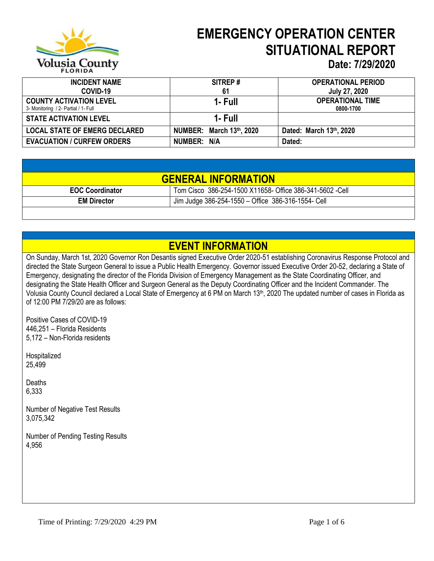

# **EMERGENCY OPERATION CENTER SITUATIONAL REPORT**

#### **Date: 7/29/2020**

| <b>INCIDENT NAME</b>                 | SITREP#                  | <b>OPERATIONAL PERIOD</b> |
|--------------------------------------|--------------------------|---------------------------|
| COVID-19                             | 61                       | <b>July 27, 2020</b>      |
| <b>COUNTY ACTIVATION LEVEL</b>       | 1- Full                  | <b>OPERATIONAL TIME</b>   |
| 3- Monitoring / 2- Partial / 1- Full |                          | 0800-1700                 |
| <b>STATE ACTIVATION LEVEL</b>        | 1- Full                  |                           |
| <b>LOCAL STATE OF EMERG DECLARED</b> | NUMBER: March 13th, 2020 | Dated: March 13th, 2020   |
| <b>EVACUATION / CURFEW ORDERS</b>    | NUMBER: N/A              | Dated:                    |

|                        | <b>GENERAL INFORMATION</b>                               |
|------------------------|----------------------------------------------------------|
| <b>EOC Coordinator</b> | Tom Cisco 386-254-1500 X11658- Office 386-341-5602 -Cell |
| <b>EM Director</b>     | Jim Judge 386-254-1550 - Office 386-316-1554- Cell       |
|                        |                                                          |

### **EVENT INFORMATION**

On Sunday, March 1st, 2020 Governor Ron Desantis signed Executive Order 2020-51 establishing Coronavirus Response Protocol and directed the State Surgeon General to issue a Public Health Emergency. Governor issued Executive Order 20-52, declaring a State of Emergency, designating the director of the Florida Division of Emergency Management as the State Coordinating Officer, and designating the State Health Officer and Surgeon General as the Deputy Coordinating Officer and the Incident Commander. The Volusia County Council declared a Local State of Emergency at 6 PM on March 13<sup>th</sup>, 2020 The updated number of cases in Florida as of 12:00 PM 7/29/20 are as follows:

Positive Cases of COVID-19 446,251 – Florida Residents 5,172 – Non-Florida residents

Hospitalized 25,499

**Deaths** 6,333

Number of Negative Test Results 3,075,342

Number of Pending Testing Results 4,956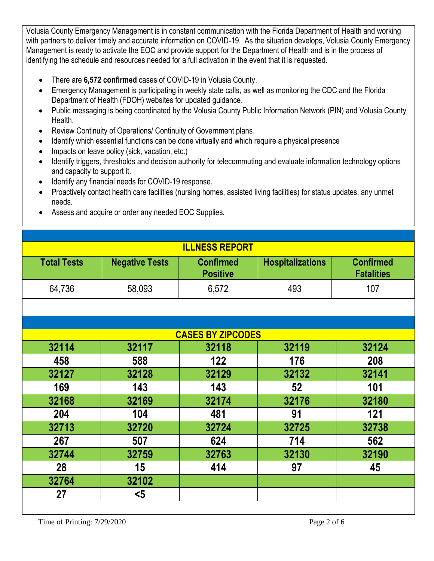Volusia County Emergency Management is in constant communication with the Florida Department of Health and working with partners to deliver timely and accurate information on COVID-19. As the situation develops, Volusia County Emergency Management is ready to activate the EOC and provide support for the Department of Health and is in the process of identifying the schedule and resources needed for a full activation in the event that it is requested.

- There are **6,572 confirmed** cases of COVID-19 in Volusia County.
- Emergency Management is participating in weekly state calls, as well as monitoring the CDC and the Florida Department of Health (FDOH) websites for updated guidance.
- Public messaging is being coordinated by the Volusia County Public Information Network (PIN) and Volusia County Health.
- Review Continuity of Operations/ Continuity of Government plans.
- Identify which essential functions can be done virtually and which require a physical presence
- Impacts on leave policy (sick, vacation, etc.)
- Identify triggers, thresholds and decision authority for telecommuting and evaluate information technology options and capacity to support it.
- Identify any financial needs for COVID-19 response.
- Proactively contact health care facilities (nursing homes, assisted living facilities) for status updates, any unmet needs.
- Assess and acquire or order any needed EOC Supplies.

|                    |                       | <b>ILLNESS REPORT</b>               |                         |                                       |
|--------------------|-----------------------|-------------------------------------|-------------------------|---------------------------------------|
| <b>Total Tests</b> | <b>Negative Tests</b> | <b>Confirmed</b><br><b>Positive</b> | <b>Hospitalizations</b> | <b>Confirmed</b><br><b>Fatalities</b> |
| 64,736             | 58,093                | 6,572                               | 493                     | 107                                   |
|                    |                       |                                     |                         |                                       |
|                    |                       |                                     |                         |                                       |
|                    |                       | <b>CASES BY ZIPCODES</b>            |                         |                                       |
| 32114              | 32117                 | 32118                               | 32119                   | 32124                                 |
| 458                | 588                   | 122                                 | 176                     | 208                                   |
| 32127              | 32128                 | 32129                               | 32132                   | 32141                                 |
| 169                | 143                   | 143                                 | 52                      | 101                                   |
| 32168              | 32169                 | 32174                               | 32176                   | 32180                                 |
| 204                | 104                   | 481                                 | 91                      | 121                                   |
| 32713              | 32720                 | 32724                               | 32725                   | 32738                                 |
| 267                | 507                   | 624                                 | 714                     | 562                                   |
| 32744              | 32759                 | 32763                               | 32130                   | 32190                                 |
| 28                 | 15                    | 414                                 | 97                      | 45                                    |
| 32764              | 32102                 |                                     |                         |                                       |
| 27                 | $\leq 5$              |                                     |                         |                                       |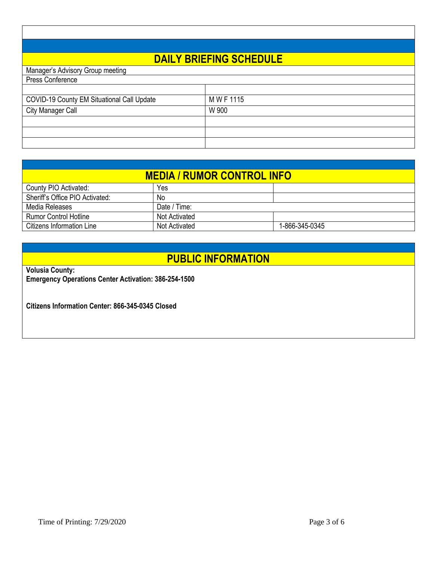# **DAILY BRIEFING SCHEDULE**

| Manager's Advisory Group meeting                  |            |
|---------------------------------------------------|------------|
| Press Conference                                  |            |
|                                                   |            |
| <b>COVID-19 County EM Situational Call Update</b> | M W F 1115 |
| <b>City Manager Call</b>                          | W 900      |
|                                                   |            |
|                                                   |            |
|                                                   |            |

| <b>MEDIA / RUMOR CONTROL INFO</b> |               |                |  |
|-----------------------------------|---------------|----------------|--|
| County PIO Activated:             | Yes           |                |  |
| Sheriff's Office PIO Activated:   | No.           |                |  |
| Media Releases                    | Date / Time:  |                |  |
| <b>Rumor Control Hotline</b>      | Not Activated |                |  |
| Citizens Information Line         | Not Activated | 1-866-345-0345 |  |

### **PUBLIC INFORMATION**

**Volusia County:**

**Emergency Operations Center Activation: 386-254-1500**

**Citizens Information Center: 866-345-0345 Closed**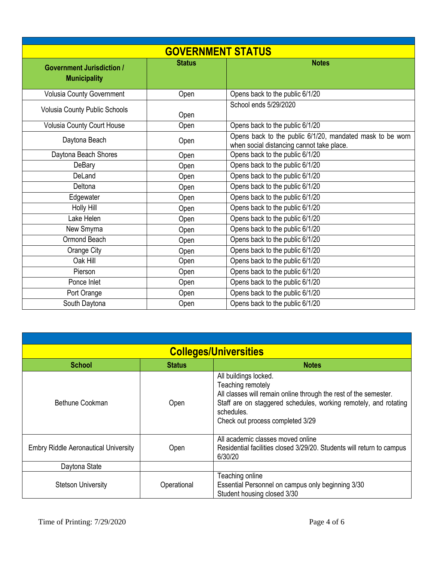| <b>GOVERNMENT STATUS</b>                                |               |                                                                                                        |  |
|---------------------------------------------------------|---------------|--------------------------------------------------------------------------------------------------------|--|
| <b>Government Jurisdiction /</b><br><b>Municipality</b> | <b>Status</b> | <b>Notes</b>                                                                                           |  |
| <b>Volusia County Government</b>                        | Open          | Opens back to the public 6/1/20                                                                        |  |
| <b>Volusia County Public Schools</b>                    | Open          | School ends 5/29/2020                                                                                  |  |
| Volusia County Court House                              | Open          | Opens back to the public 6/1/20                                                                        |  |
| Daytona Beach                                           | Open          | Opens back to the public 6/1/20, mandated mask to be worn<br>when social distancing cannot take place. |  |
| Daytona Beach Shores                                    | Open          | Opens back to the public 6/1/20                                                                        |  |
| DeBary                                                  | Open          | Opens back to the public 6/1/20                                                                        |  |
| DeLand                                                  | Open          | Opens back to the public 6/1/20                                                                        |  |
| Deltona                                                 | Open          | Opens back to the public 6/1/20                                                                        |  |
| Edgewater                                               | Open          | Opens back to the public 6/1/20                                                                        |  |
| Holly Hill                                              | Open          | Opens back to the public 6/1/20                                                                        |  |
| Lake Helen                                              | Open          | Opens back to the public 6/1/20                                                                        |  |
| New Smyrna                                              | Open          | Opens back to the public 6/1/20                                                                        |  |
| Ormond Beach                                            | Open          | Opens back to the public 6/1/20                                                                        |  |
| Orange City                                             | Open          | Opens back to the public 6/1/20                                                                        |  |
| Oak Hill                                                | Open          | Opens back to the public 6/1/20                                                                        |  |
| Pierson                                                 | Open          | Opens back to the public 6/1/20                                                                        |  |
| Ponce Inlet                                             | Open          | Opens back to the public 6/1/20                                                                        |  |
| Port Orange                                             | Open          | Opens back to the public 6/1/20                                                                        |  |
| South Daytona                                           | Open          | Opens back to the public 6/1/20                                                                        |  |

|                                             |               | <b>Colleges/Universities</b>                                                                                                                                                                                                         |
|---------------------------------------------|---------------|--------------------------------------------------------------------------------------------------------------------------------------------------------------------------------------------------------------------------------------|
| <b>School</b>                               | <b>Status</b> | <b>Notes</b>                                                                                                                                                                                                                         |
| Bethune Cookman                             | Open          | All buildings locked.<br>Teaching remotely<br>All classes will remain online through the rest of the semester.<br>Staff are on staggered schedules, working remotely, and rotating<br>schedules.<br>Check out process completed 3/29 |
| <b>Embry Riddle Aeronautical University</b> | Open          | All academic classes moved online<br>Residential facilities closed 3/29/20. Students will return to campus<br>6/30/20                                                                                                                |
| Daytona State                               |               |                                                                                                                                                                                                                                      |
| <b>Stetson University</b>                   | Operational   | Teaching online<br>Essential Personnel on campus only beginning 3/30<br>Student housing closed 3/30                                                                                                                                  |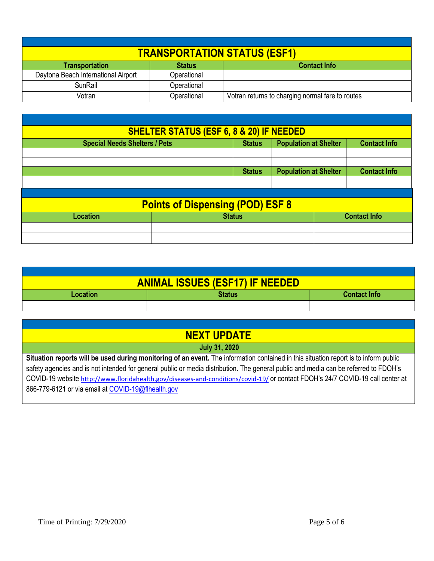|                                     |               | <b>TRANSPORTATION STATUS (ESF1)</b>              |
|-------------------------------------|---------------|--------------------------------------------------|
| <b>Transportation</b>               | <b>Status</b> | <b>Contact Info</b>                              |
| Daytona Beach International Airport | Operational   |                                                  |
| <b>SunRail</b>                      | Operational   |                                                  |
| Votran                              | Operational   | Votran returns to charging normal fare to routes |

|                 | <b>SHELTER STATUS (ESF 6, 8 &amp; 20) IF NEEDED</b>                                                          |                                               |                     |  |
|-----------------|--------------------------------------------------------------------------------------------------------------|-----------------------------------------------|---------------------|--|
|                 | <b>Population at Shelter</b><br><b>Special Needs Shelters / Pets</b><br><b>Contact Info</b><br><b>Status</b> |                                               |                     |  |
|                 |                                                                                                              |                                               |                     |  |
|                 |                                                                                                              |                                               | <b>Contact Info</b> |  |
|                 |                                                                                                              | <b>Population at Shelter</b><br><b>Status</b> |                     |  |
|                 |                                                                                                              |                                               |                     |  |
|                 | <b>Points of Dispensing (POD) ESF 8</b>                                                                      |                                               |                     |  |
| <b>Location</b> | <b>Status</b><br><b>Contact Info</b>                                                                         |                                               |                     |  |
|                 |                                                                                                              |                                               |                     |  |
|                 |                                                                                                              |                                               |                     |  |

|                                           | <b>ANIMAL ISSUES (ESF17) IF NEEDED</b> |  |
|-------------------------------------------|----------------------------------------|--|
| Status<br><b>Contact Info</b><br>Location |                                        |  |
|                                           |                                        |  |

| <b>NEXT UPDATE</b>                                                                                                                   |
|--------------------------------------------------------------------------------------------------------------------------------------|
| <b>July 31, 2020</b>                                                                                                                 |
| Situation reports will be used during monitoring of an event. The information contained in this situation report is to inform public |
| safety agencies and is not intended for general public or media distribution. The general public and media can be referred to FDOH's |
| COVID-19 website http://www.floridahealth.gov/diseases-and-conditions/covid-19/ or contact FDOH's 24/7 COVID-19 call center at       |
| 866-779-6121 or via email at COVID-19@flhealth.gov                                                                                   |